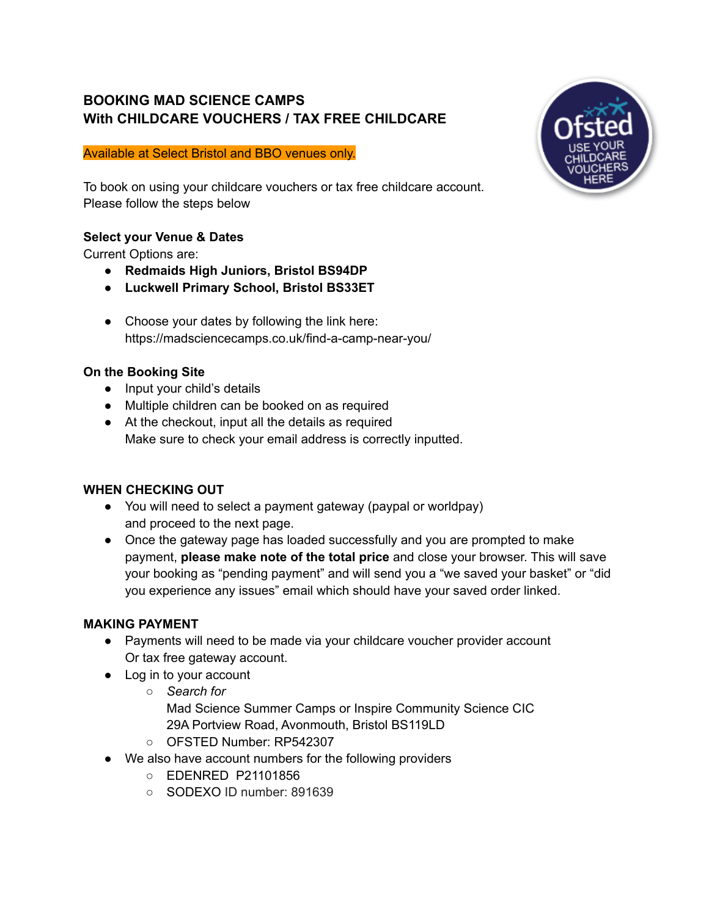# **BOOKING MAD SCIENCE CAMPS With CHILDCARE VOUCHERS / TAX FREE CHILDCARE**

#### Available at Select Bristol and BBO venues only.

To book on using your childcare vouchers or tax free childcare account. Please follow the steps below

### **Select your Venue & Dates**

Current Options are:

- **● Redmaids High Juniors, Bristol BS94DP**
- **● Luckwell Primary School, Bristol BS33ET**
- Choose your dates by following the link here: https://madsciencecamps.co.uk/find-a-camp-near-you/

### **On the Booking Site**

- Input your child's details
- Multiple children can be booked on as required
- At the checkout, input all the details as required Make sure to check your email address is correctly inputted.

# **WHEN CHECKING OUT**

- You will need to select a payment gateway (paypal or worldpay) and proceed to the next page.
- Once the gateway page has loaded successfully and you are prompted to make payment, **please make note of the total price** and close your browser. This will save your booking as "pending payment" and will send you a "we saved your basket" or "did you experience any issues" email which should have your saved order linked.

### **MAKING PAYMENT**

- Payments will need to be made via your childcare voucher provider account Or tax free gateway account.
- Log in to your account
	- *Search for* Mad Science Summer Camps or Inspire Community Science CIC 29A Portview Road, Avonmouth, Bristol BS119LD
	- OFSTED Number: RP542307
- We also have account numbers for the following providers
	- EDENRED P21101856
	- SODEXO ID number: 891639